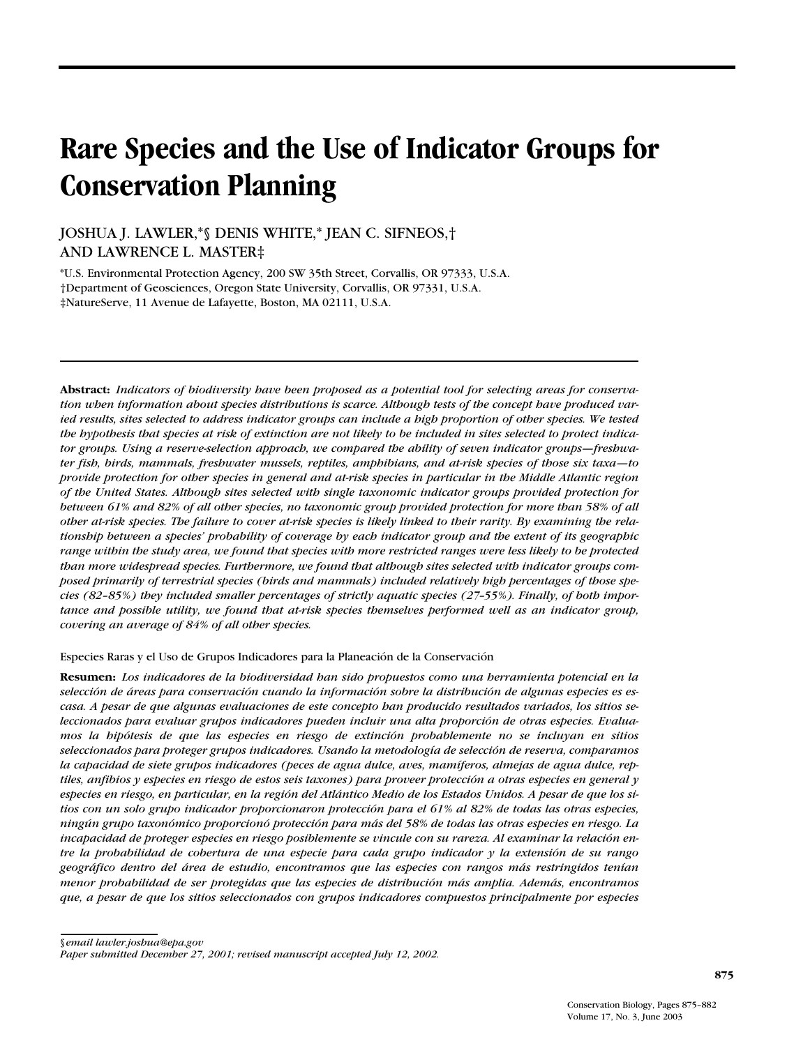# **Rare Species and the Use of Indicator Groups for Conservation Planning**

JOSHUA J. LAWLER,\*§ DENIS WHITE,\* JEAN C. SIFNEOS,† AND LAWRENCE L. MASTER‡

\*U.S. Environmental Protection Agency, 200 SW 35th Street, Corvallis, OR 97333, U.S.A. †Department of Geosciences, Oregon State University, Corvallis, OR 97331, U.S.A. ‡NatureServe, 11 Avenue de Lafayette, Boston, MA 02111, U.S.A.

**Abstract:** *Indicators of biodiversity have been proposed as a potential tool for selecting areas for conservation when information about species distributions is scarce. Although tests of the concept have produced varied results, sites selected to address indicator groups can include a high proportion of other species. We tested the hypothesis that species at risk of extinction are not likely to be included in sites selected to protect indicator groups. Using a reserve-selection approach, we compared the ability of seven indicator groups—freshwater fish, birds, mammals, freshwater mussels, reptiles, amphibians, and at-risk species of those six taxa—to provide protection for other species in general and at-risk species in particular in the Middle Atlantic region of the United States. Although sites selected with single taxonomic indicator groups provided protection for between 61% and 82% of all other species, no taxonomic group provided protection for more than 58% of all other at-risk species. The failure to cover at-risk species is likely linked to their rarity. By examining the relationship between a species' probability of coverage by each indicator group and the extent of its geographic range within the study area, we found that species with more restricted ranges were less likely to be protected than more widespread species. Furthermore, we found that although sites selected with indicator groups composed primarily of terrestrial species (birds and mammals) included relatively high percentages of those species (82–85%) they included smaller percentages of strictly aquatic species (27–55%). Finally, of both importance and possible utility, we found that at-risk species themselves performed well as an indicator group, covering an average of 84% of all other species.*

Especies Raras y el Uso de Grupos Indicadores para la Planeación de la Conservación

**Resumen:** *Los indicadores de la biodiversidad han sido propuestos como una herramienta potencial en la selección de áreas para conservación cuando la información sobre la distribución de algunas especies es escasa. A pesar de que algunas evaluaciones de este concepto han producido resultados variados, los sitios seleccionados para evaluar grupos indicadores pueden incluir una alta proporción de otras especies. Evaluamos la hipótesis de que las especies en riesgo de extinción probablemente no se incluyan en sitios seleccionados para proteger grupos indicadores. Usando la metodología de selección de reserva, comparamos la capacidad de siete grupos indicadores (peces de agua dulce, aves, mamíferos, almejas de agua dulce, reptiles, anfibios y especies en riesgo de estos seis taxones) para proveer protección a otras especies en general y especies en riesgo, en particular, en la región del Atlántico Medio de los Estados Unidos. A pesar de que los sitios con un solo grupo indicador proporcionaron protección para el 61% al 82% de todas las otras especies, ningún grupo taxonómico proporcionó protección para más del 58% de todas las otras especies en riesgo. La incapacidad de proteger especies en riesgo posiblemente se vincule con su rareza. Al examinar la relación entre la probabilidad de cobertura de una especie para cada grupo indicador y la extensión de su rango geográfico dentro del área de estudio, encontramos que las especies con rangos más restringidos tenían menor probabilidad de ser protegidas que las especies de distribución más amplia. Además, encontramos que, a pesar de que los sitios seleccionados con grupos indicadores compuestos principalmente por especies*

§*email lawler.joshua@epa.gov*

*Paper submitted December 27, 2001; revised manuscript accepted July 12, 2002.*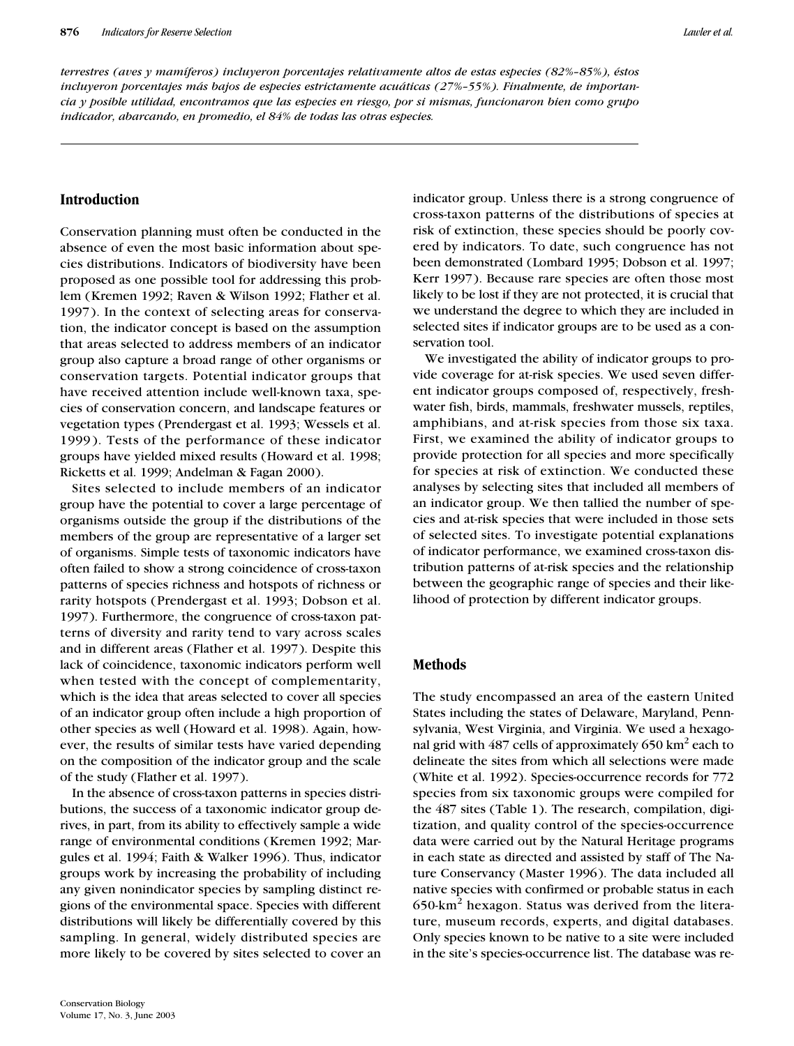*terrestres (aves y mamíferos) incluyeron porcentajes relativamente altos de estas especies (82%–85%), éstos incluyeron porcentajes más bajos de especies estrictamente acuáticas (27%–55%). Finalmente, de importancia y posible utilidad, encontramos que las especies en riesgo, por si mismas, funcionaron bien como grupo indicador, abarcando, en promedio, el 84% de todas las otras especies.*

## **Introduction**

Conservation planning must often be conducted in the absence of even the most basic information about species distributions. Indicators of biodiversity have been proposed as one possible tool for addressing this problem (Kremen 1992; Raven & Wilson 1992; Flather et al. 1997). In the context of selecting areas for conservation, the indicator concept is based on the assumption that areas selected to address members of an indicator group also capture a broad range of other organisms or conservation targets. Potential indicator groups that have received attention include well-known taxa, species of conservation concern, and landscape features or vegetation types (Prendergast et al. 1993; Wessels et al. 1999). Tests of the performance of these indicator groups have yielded mixed results (Howard et al. 1998; Ricketts et al. 1999; Andelman & Fagan 2000).

Sites selected to include members of an indicator group have the potential to cover a large percentage of organisms outside the group if the distributions of the members of the group are representative of a larger set of organisms. Simple tests of taxonomic indicators have often failed to show a strong coincidence of cross-taxon patterns of species richness and hotspots of richness or rarity hotspots (Prendergast et al. 1993; Dobson et al. 1997). Furthermore, the congruence of cross-taxon patterns of diversity and rarity tend to vary across scales and in different areas (Flather et al. 1997). Despite this lack of coincidence, taxonomic indicators perform well when tested with the concept of complementarity, which is the idea that areas selected to cover all species of an indicator group often include a high proportion of other species as well (Howard et al. 1998). Again, however, the results of similar tests have varied depending on the composition of the indicator group and the scale of the study (Flather et al. 1997).

In the absence of cross-taxon patterns in species distributions, the success of a taxonomic indicator group derives, in part, from its ability to effectively sample a wide range of environmental conditions (Kremen 1992; Margules et al. 1994; Faith & Walker 1996). Thus, indicator groups work by increasing the probability of including any given nonindicator species by sampling distinct regions of the environmental space. Species with different distributions will likely be differentially covered by this sampling. In general, widely distributed species are more likely to be covered by sites selected to cover an

indicator group. Unless there is a strong congruence of cross-taxon patterns of the distributions of species at risk of extinction, these species should be poorly covered by indicators. To date, such congruence has not been demonstrated (Lombard 1995; Dobson et al. 1997; Kerr 1997). Because rare species are often those most likely to be lost if they are not protected, it is crucial that we understand the degree to which they are included in selected sites if indicator groups are to be used as a conservation tool.

We investigated the ability of indicator groups to provide coverage for at-risk species. We used seven different indicator groups composed of, respectively, freshwater fish, birds, mammals, freshwater mussels, reptiles, amphibians, and at-risk species from those six taxa. First, we examined the ability of indicator groups to provide protection for all species and more specifically for species at risk of extinction. We conducted these analyses by selecting sites that included all members of an indicator group. We then tallied the number of species and at-risk species that were included in those sets of selected sites. To investigate potential explanations of indicator performance, we examined cross-taxon distribution patterns of at-risk species and the relationship between the geographic range of species and their likelihood of protection by different indicator groups.

## **Methods**

The study encompassed an area of the eastern United States including the states of Delaware, Maryland, Pennsylvania, West Virginia, and Virginia. We used a hexagonal grid with  $487$  cells of approximately  $650$  km $^2$  each to delineate the sites from which all selections were made (White et al. 1992). Species-occurrence records for 772 species from six taxonomic groups were compiled for the 487 sites (Table 1). The research, compilation, digitization, and quality control of the species-occurrence data were carried out by the Natural Heritage programs in each state as directed and assisted by staff of The Nature Conservancy (Master 1996). The data included all native species with confirmed or probable status in each  $650$ -km<sup>2</sup> hexagon. Status was derived from the literature, museum records, experts, and digital databases. Only species known to be native to a site were included in the site's species-occurrence list. The database was re-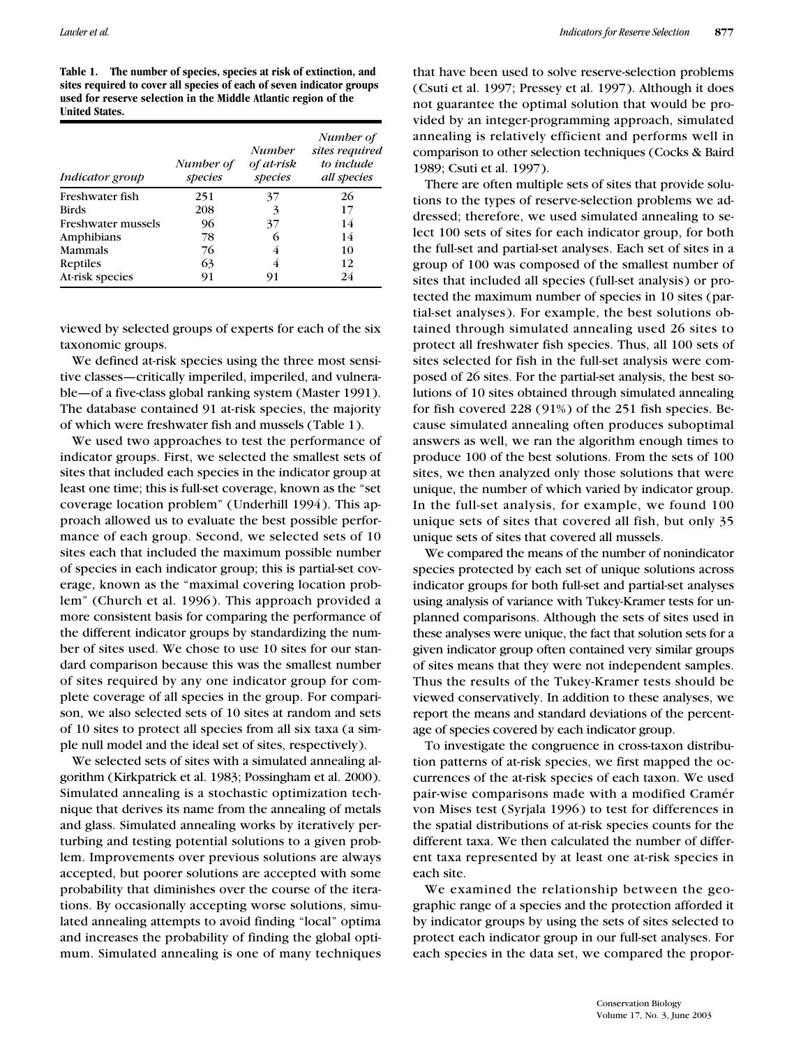**Table 1. The number of species, species at risk of extinction, and sites required to cover all species of each of seven indicator groups used for reserve selection in the Middle Atlantic region of the United States.**

| Indicator group    | Number of<br>species | <b>Number</b><br>of at-risk<br>species | Number of<br>sites required<br>to include<br>all species |
|--------------------|----------------------|----------------------------------------|----------------------------------------------------------|
| Freshwater fish    | 251                  | 37                                     | 26                                                       |
| <b>Birds</b>       | 208                  | 3                                      | 17                                                       |
| Freshwater mussels | 96                   | 37                                     | 14                                                       |
| Amphibians         | 78                   | 6                                      | 14                                                       |
| <b>Mammals</b>     | 76                   | 4                                      | 10                                                       |
| Reptiles           | 63                   | 4                                      | 12                                                       |
| At-risk species    | 91                   | 91                                     | 24                                                       |

viewed by selected groups of experts for each of the six taxonomic groups.

We defined at-risk species using the three most sensitive classes—critically imperiled, imperiled, and vulnerable—of a five-class global ranking system (Master 1991). The database contained 91 at-risk species, the majority of which were freshwater fish and mussels (Table 1).

We used two approaches to test the performance of indicator groups. First, we selected the smallest sets of sites that included each species in the indicator group at least one time; this is full-set coverage, known as the "set coverage location problem" (Underhill 1994). This approach allowed us to evaluate the best possible performance of each group. Second, we selected sets of 10 sites each that included the maximum possible number of species in each indicator group; this is partial-set coverage, known as the "maximal covering location problem" (Church et al. 1996). This approach provided a more consistent basis for comparing the performance of the different indicator groups by standardizing the number of sites used. We chose to use 10 sites for our standard comparison because this was the smallest number of sites required by any one indicator group for complete coverage of all species in the group. For comparison, we also selected sets of 10 sites at random and sets of 10 sites to protect all species from all six taxa (a simple null model and the ideal set of sites, respectively).

We selected sets of sites with a simulated annealing algorithm (Kirkpatrick et al. 1983; Possingham et al. 2000). Simulated annealing is a stochastic optimization technique that derives its name from the annealing of metals and glass. Simulated annealing works by iteratively perturbing and testing potential solutions to a given problem. Improvements over previous solutions are always accepted, but poorer solutions are accepted with some probability that diminishes over the course of the iterations. By occasionally accepting worse solutions, simulated annealing attempts to avoid finding "local" optima and increases the probability of finding the global optimum. Simulated annealing is one of many techniques

that have been used to solve reserve-selection problems (Csuti et al. 1997; Pressey et al. 1997). Although it does not guarantee the optimal solution that would be provided by an integer-programming approach, simulated annealing is relatively efficient and performs well in comparison to other selection techniques (Cocks & Baird 1989; Csuti et al. 1997).

There are often multiple sets of sites that provide solutions to the types of reserve-selection problems we addressed; therefore, we used simulated annealing to select 100 sets of sites for each indicator group, for both the full-set and partial-set analyses. Each set of sites in a group of 100 was composed of the smallest number of sites that included all species (full-set analysis) or protected the maximum number of species in 10 sites (partial-set analyses). For example, the best solutions obtained through simulated annealing used 26 sites to protect all freshwater fish species. Thus, all 100 sets of sites selected for fish in the full-set analysis were composed of 26 sites. For the partial-set analysis, the best solutions of 10 sites obtained through simulated annealing for fish covered 228 (91%) of the 251 fish species. Because simulated annealing often produces suboptimal answers as well, we ran the algorithm enough times to produce 100 of the best solutions. From the sets of 100 sites, we then analyzed only those solutions that were unique, the number of which varied by indicator group. In the full-set analysis, for example, we found 100 unique sets of sites that covered all fish, but only 35 unique sets of sites that covered all mussels.

We compared the means of the number of nonindicator species protected by each set of unique solutions across indicator groups for both full-set and partial-set analyses using analysis of variance with Tukey-Kramer tests for unplanned comparisons. Although the sets of sites used in these analyses were unique, the fact that solution sets for a given indicator group often contained very similar groups of sites means that they were not independent samples. Thus the results of the Tukey-Kramer tests should be viewed conservatively. In addition to these analyses, we report the means and standard deviations of the percentage of species covered by each indicator group.

To investigate the congruence in cross-taxon distribution patterns of at-risk species, we first mapped the occurrences of the at-risk species of each taxon. We used pair-wise comparisons made with a modified Cramér von Mises test (Syrjala 1996) to test for differences in the spatial distributions of at-risk species counts for the different taxa. We then calculated the number of different taxa represented by at least one at-risk species in each site.

We examined the relationship between the geographic range of a species and the protection afforded it by indicator groups by using the sets of sites selected to protect each indicator group in our full-set analyses. For each species in the data set, we compared the propor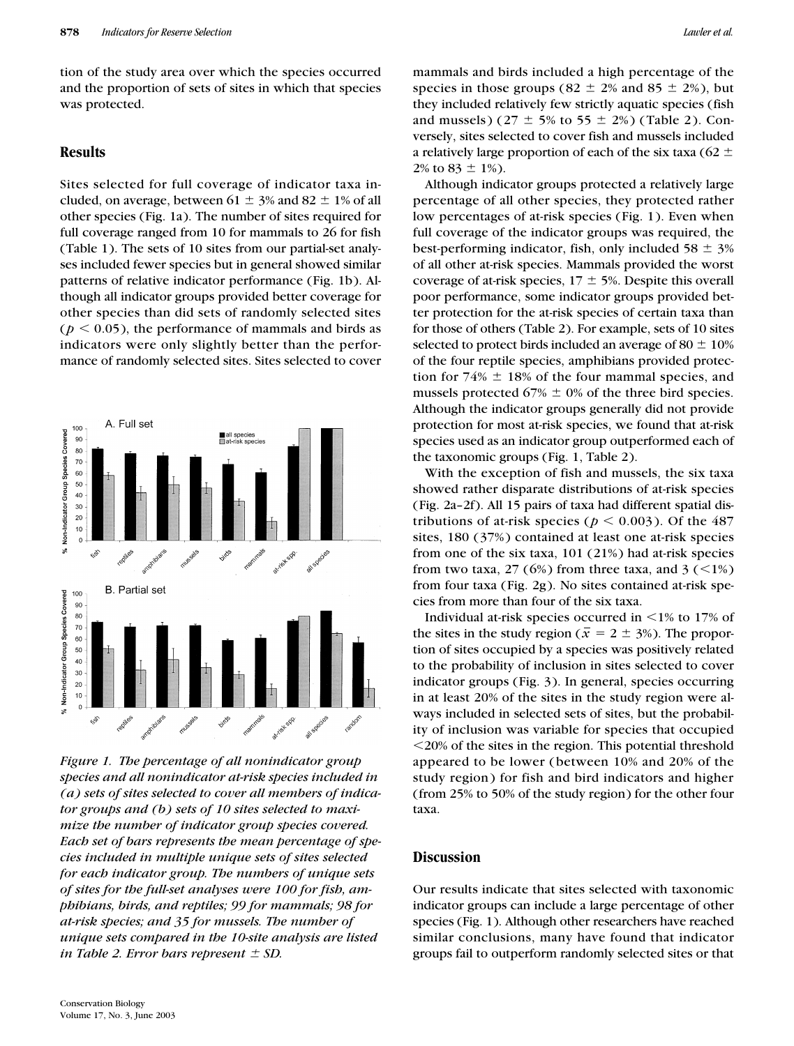tion of the study area over which the species occurred and the proportion of sets of sites in which that species was protected.

#### **Results**

Sites selected for full coverage of indicator taxa included, on average, between  $61 \pm 3\%$  and  $82 \pm 1\%$  of all other species (Fig. 1a). The number of sites required for full coverage ranged from 10 for mammals to 26 for fish (Table 1). The sets of 10 sites from our partial-set analyses included fewer species but in general showed similar patterns of relative indicator performance (Fig. 1b). Although all indicator groups provided better coverage for other species than did sets of randomly selected sites  $(p < 0.05)$ , the performance of mammals and birds as indicators were only slightly better than the performance of randomly selected sites. Sites selected to cover



*Figure 1. The percentage of all nonindicator group species and all nonindicator at-risk species included in (a) sets of sites selected to cover all members of indicator groups and (b) sets of 10 sites selected to maximize the number of indicator group species covered. Each set of bars represents the mean percentage of species included in multiple unique sets of sites selected for each indicator group. The numbers of unique sets of sites for the full-set analyses were 100 for fish, amphibians, birds, and reptiles; 99 for mammals; 98 for at-risk species; and 35 for mussels. The number of unique sets compared in the 10-site analysis are listed in Table 2. Error bars represent*  $\pm$  *SD.* 

mammals and birds included a high percentage of the species in those groups (82  $\pm$  2% and 85  $\pm$  2%), but they included relatively few strictly aquatic species (fish and mussels)  $(27 \pm 5\% \text{ to } 55 \pm 2\%)$  (Table 2). Conversely, sites selected to cover fish and mussels included a relatively large proportion of each of the six taxa (62  $\pm$  $2\%$  to  $83 \pm 1\%$ ).

Although indicator groups protected a relatively large percentage of all other species, they protected rather low percentages of at-risk species (Fig. 1). Even when full coverage of the indicator groups was required, the best-performing indicator, fish, only included  $58 \pm 3\%$ of all other at-risk species. Mammals provided the worst coverage of at-risk species,  $17 \pm 5$ %. Despite this overall poor performance, some indicator groups provided better protection for the at-risk species of certain taxa than for those of others (Table 2). For example, sets of 10 sites selected to protect birds included an average of 80  $\pm$  10% of the four reptile species, amphibians provided protection for  $74\% \pm 18\%$  of the four mammal species, and mussels protected  $67\% \pm 0\%$  of the three bird species. Although the indicator groups generally did not provide protection for most at-risk species, we found that at-risk species used as an indicator group outperformed each of the taxonomic groups (Fig. 1, Table 2).

With the exception of fish and mussels, the six taxa showed rather disparate distributions of at-risk species (Fig. 2a–2f). All 15 pairs of taxa had different spatial distributions of at-risk species ( $p < 0.003$ ). Of the 487 sites, 180 (37%) contained at least one at-risk species from one of the six taxa, 101 (21%) had at-risk species from two taxa, 27 (6%) from three taxa, and 3 ( $\leq$ 1%) from four taxa (Fig. 2g). No sites contained at-risk species from more than four of the six taxa.

Individual at-risk species occurred in  $\leq$ 1% to 17% of the sites in the study region ( $\bar{x} = 2 \pm 3$ %). The proportion of sites occupied by a species was positively related to the probability of inclusion in sites selected to cover indicator groups (Fig. 3). In general, species occurring in at least 20% of the sites in the study region were always included in selected sets of sites, but the probability of inclusion was variable for species that occupied 20% of the sites in the region. This potential threshold appeared to be lower (between 10% and 20% of the study region) for fish and bird indicators and higher (from 25% to 50% of the study region) for the other four taxa.

### **Discussion**

Our results indicate that sites selected with taxonomic indicator groups can include a large percentage of other species (Fig. 1). Although other researchers have reached similar conclusions, many have found that indicator groups fail to outperform randomly selected sites or that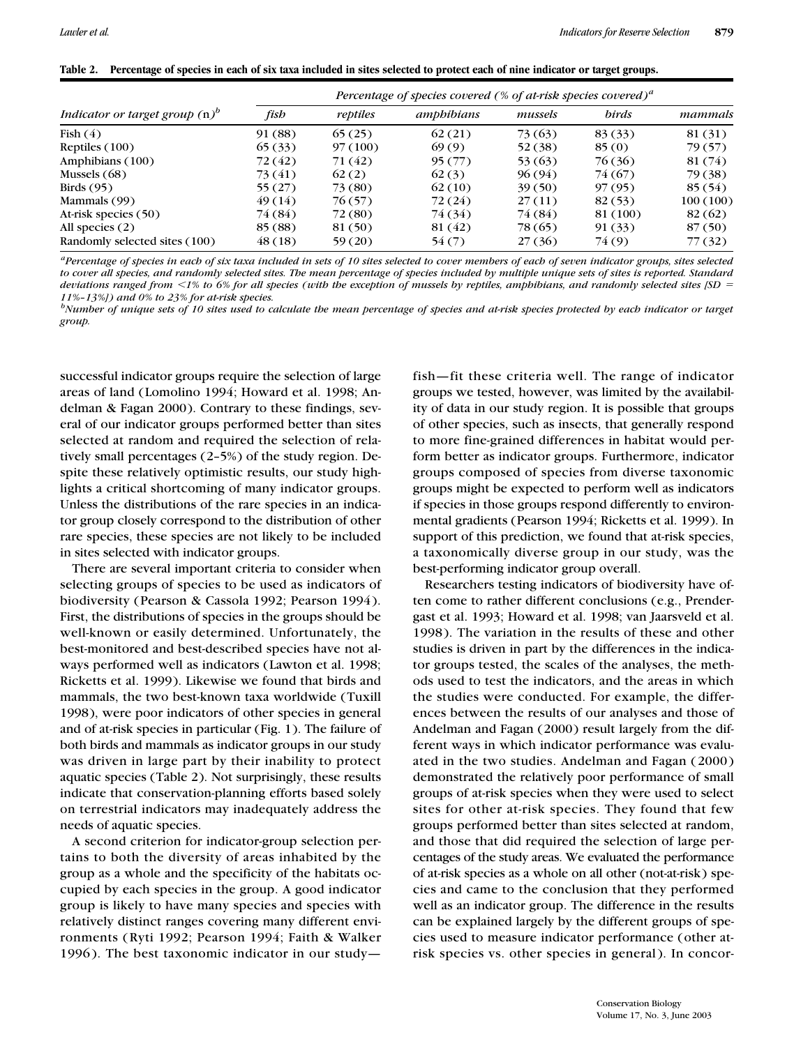|  | Table 2. Percentage of species in each of six taxa included in sites selected to protect each of nine indicator or target groups. |  |  |  |
|--|-----------------------------------------------------------------------------------------------------------------------------------|--|--|--|
|--|-----------------------------------------------------------------------------------------------------------------------------------|--|--|--|

| Indicator or target group $(n)^b$ | Percentage of species covered (% of at-risk species covered) <sup>a</sup> |          |            |         |              |          |
|-----------------------------------|---------------------------------------------------------------------------|----------|------------|---------|--------------|----------|
|                                   | fish                                                                      | reptiles | amphibians | mussels | <b>birds</b> | mammals  |
| Fish $(4)$                        | 91 (88)                                                                   | 65(25)   | 62(21)     | 73 (63) | 83 (33)      | 81 (31)  |
| Reptiles $(100)$                  | 65(33)                                                                    | 97(100)  | 69(9)      | 52 (38) | 85(0)        | 79 (57)  |
| Amphibians (100)                  | 72(42)                                                                    | 71 (42)  | 95(77)     | 53 (63) | 76 (36)      | 81 (74)  |
| Mussels $(68)$                    | 73 (41)                                                                   | 62(2)    | 62(3)      | 96 (94) | 74 (67)      | 79 (38)  |
| Birds $(95)$                      | 55(27)                                                                    | 73 (80)  | 62(10)     | 39(50)  | 97(95)       | 85 (54)  |
| Mammals (99)                      | 49(14)                                                                    | 76 (57)  | 72 (24)    | 27(11)  | 82(53)       | 100(100) |
| At-risk species (50)              | 74 (84)                                                                   | 72 (80)  | 74 (34)    | 74 (84) | 81 (100)     | 82(62)   |
| All species $(2)$                 | 85 (88)                                                                   | 81 (50)  | 81 (42)    | 78(65)  | 91(33)       | 87(50)   |
| Randomly selected sites (100)     | 48 (18)                                                                   | 59(20)   | 54(7)      | 27 (36) | 74(9)        | 77(32)   |

*aPercentage of species in each of six taxa included in sets of 10 sites selected to cover members of each of seven indicator groups, sites selected to cover all species, and randomly selected sites. The mean percentage of species included by multiple unique sets of sites is reported. Standard deviations ranged from 1% to 6% for all species (with the exception of mussels by reptiles, amphibians, and randomly selected sites [SD 11%–13%]) and 0% to 23% for at-risk species.*

*b Number of unique sets of 10 sites used to calculate the mean percentage of species and at-risk species protected by each indicator or target group.*

successful indicator groups require the selection of large areas of land (Lomolino 1994; Howard et al. 1998; Andelman & Fagan 2000). Contrary to these findings, several of our indicator groups performed better than sites selected at random and required the selection of relatively small percentages (2–5%) of the study region. Despite these relatively optimistic results, our study highlights a critical shortcoming of many indicator groups. Unless the distributions of the rare species in an indicator group closely correspond to the distribution of other rare species, these species are not likely to be included in sites selected with indicator groups.

There are several important criteria to consider when selecting groups of species to be used as indicators of biodiversity (Pearson & Cassola 1992; Pearson 1994). First, the distributions of species in the groups should be well-known or easily determined. Unfortunately, the best-monitored and best-described species have not always performed well as indicators (Lawton et al. 1998; Ricketts et al. 1999). Likewise we found that birds and mammals, the two best-known taxa worldwide (Tuxill 1998), were poor indicators of other species in general and of at-risk species in particular (Fig. 1). The failure of both birds and mammals as indicator groups in our study was driven in large part by their inability to protect aquatic species (Table 2). Not surprisingly, these results indicate that conservation-planning efforts based solely on terrestrial indicators may inadequately address the needs of aquatic species.

A second criterion for indicator-group selection pertains to both the diversity of areas inhabited by the group as a whole and the specificity of the habitats occupied by each species in the group. A good indicator group is likely to have many species and species with relatively distinct ranges covering many different environments (Ryti 1992; Pearson 1994; Faith & Walker 1996). The best taxonomic indicator in our studyfish—fit these criteria well. The range of indicator groups we tested, however, was limited by the availability of data in our study region. It is possible that groups of other species, such as insects, that generally respond to more fine-grained differences in habitat would perform better as indicator groups. Furthermore, indicator groups composed of species from diverse taxonomic groups might be expected to perform well as indicators if species in those groups respond differently to environmental gradients (Pearson 1994; Ricketts et al. 1999). In support of this prediction, we found that at-risk species, a taxonomically diverse group in our study, was the best-performing indicator group overall.

Researchers testing indicators of biodiversity have often come to rather different conclusions (e.g., Prendergast et al. 1993; Howard et al. 1998; van Jaarsveld et al. 1998). The variation in the results of these and other studies is driven in part by the differences in the indicator groups tested, the scales of the analyses, the methods used to test the indicators, and the areas in which the studies were conducted. For example, the differences between the results of our analyses and those of Andelman and Fagan (2000) result largely from the different ways in which indicator performance was evaluated in the two studies. Andelman and Fagan (2000) demonstrated the relatively poor performance of small groups of at-risk species when they were used to select sites for other at-risk species. They found that few groups performed better than sites selected at random, and those that did required the selection of large percentages of the study areas. We evaluated the performance of at-risk species as a whole on all other (not-at-risk) species and came to the conclusion that they performed well as an indicator group. The difference in the results can be explained largely by the different groups of species used to measure indicator performance (other atrisk species vs. other species in general). In concor-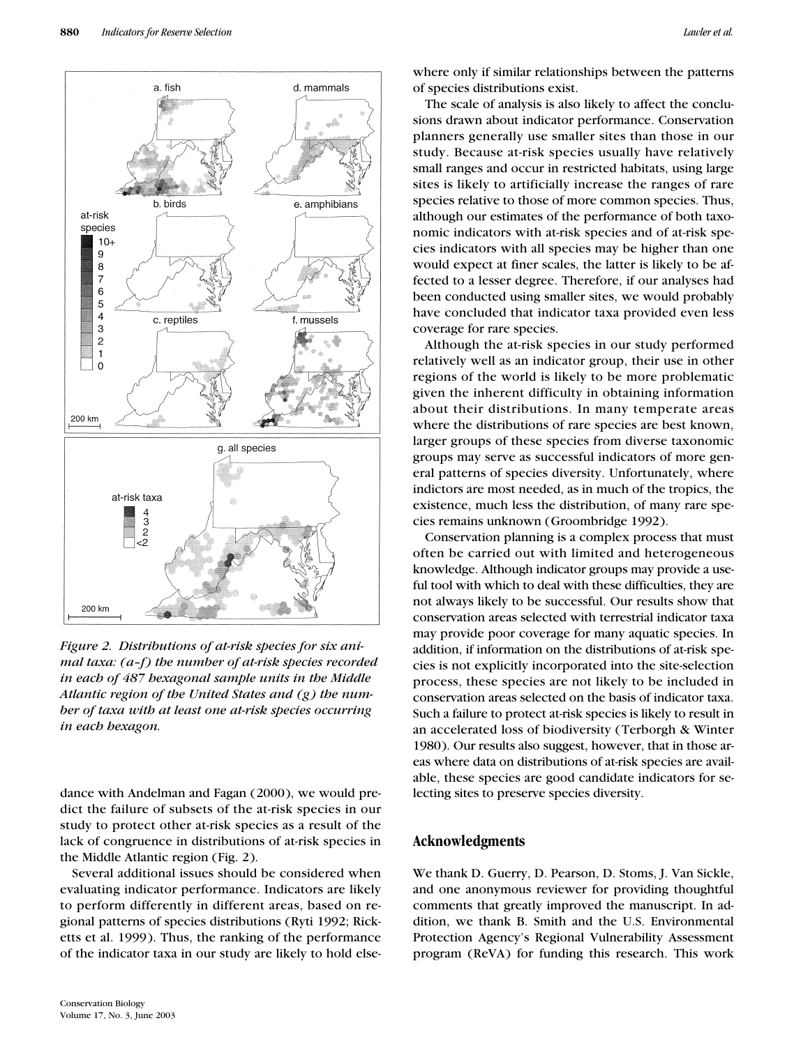

*Figure 2. Distributions of at-risk species for six animal taxa: (a–f) the number of at-risk species recorded in each of 487 hexagonal sample units in the Middle Atlantic region of the United States and (g) the number of taxa with at least one at-risk species occurring in each hexagon.*

dance with Andelman and Fagan (2000), we would predict the failure of subsets of the at-risk species in our study to protect other at-risk species as a result of the lack of congruence in distributions of at-risk species in the Middle Atlantic region (Fig. 2).

Several additional issues should be considered when evaluating indicator performance. Indicators are likely to perform differently in different areas, based on regional patterns of species distributions (Ryti 1992; Ricketts et al. 1999). Thus, the ranking of the performance of the indicator taxa in our study are likely to hold elsewhere only if similar relationships between the patterns of species distributions exist.

The scale of analysis is also likely to affect the conclusions drawn about indicator performance. Conservation planners generally use smaller sites than those in our study. Because at-risk species usually have relatively small ranges and occur in restricted habitats, using large sites is likely to artificially increase the ranges of rare species relative to those of more common species. Thus, although our estimates of the performance of both taxonomic indicators with at-risk species and of at-risk species indicators with all species may be higher than one would expect at finer scales, the latter is likely to be affected to a lesser degree. Therefore, if our analyses had been conducted using smaller sites, we would probably have concluded that indicator taxa provided even less coverage for rare species.

Although the at-risk species in our study performed relatively well as an indicator group, their use in other regions of the world is likely to be more problematic given the inherent difficulty in obtaining information about their distributions. In many temperate areas where the distributions of rare species are best known, larger groups of these species from diverse taxonomic groups may serve as successful indicators of more general patterns of species diversity. Unfortunately, where indictors are most needed, as in much of the tropics, the existence, much less the distribution, of many rare species remains unknown (Groombridge 1992).

Conservation planning is a complex process that must often be carried out with limited and heterogeneous knowledge. Although indicator groups may provide a useful tool with which to deal with these difficulties, they are not always likely to be successful. Our results show that conservation areas selected with terrestrial indicator taxa may provide poor coverage for many aquatic species. In addition, if information on the distributions of at-risk species is not explicitly incorporated into the site-selection process, these species are not likely to be included in conservation areas selected on the basis of indicator taxa. Such a failure to protect at-risk species is likely to result in an accelerated loss of biodiversity (Terborgh & Winter 1980). Our results also suggest, however, that in those areas where data on distributions of at-risk species are available, these species are good candidate indicators for selecting sites to preserve species diversity.

#### **Acknowledgments**

We thank D. Guerry, D. Pearson, D. Stoms, J. Van Sickle, and one anonymous reviewer for providing thoughtful comments that greatly improved the manuscript. In addition, we thank B. Smith and the U.S. Environmental Protection Agency's Regional Vulnerability Assessment program (ReVA) for funding this research. This work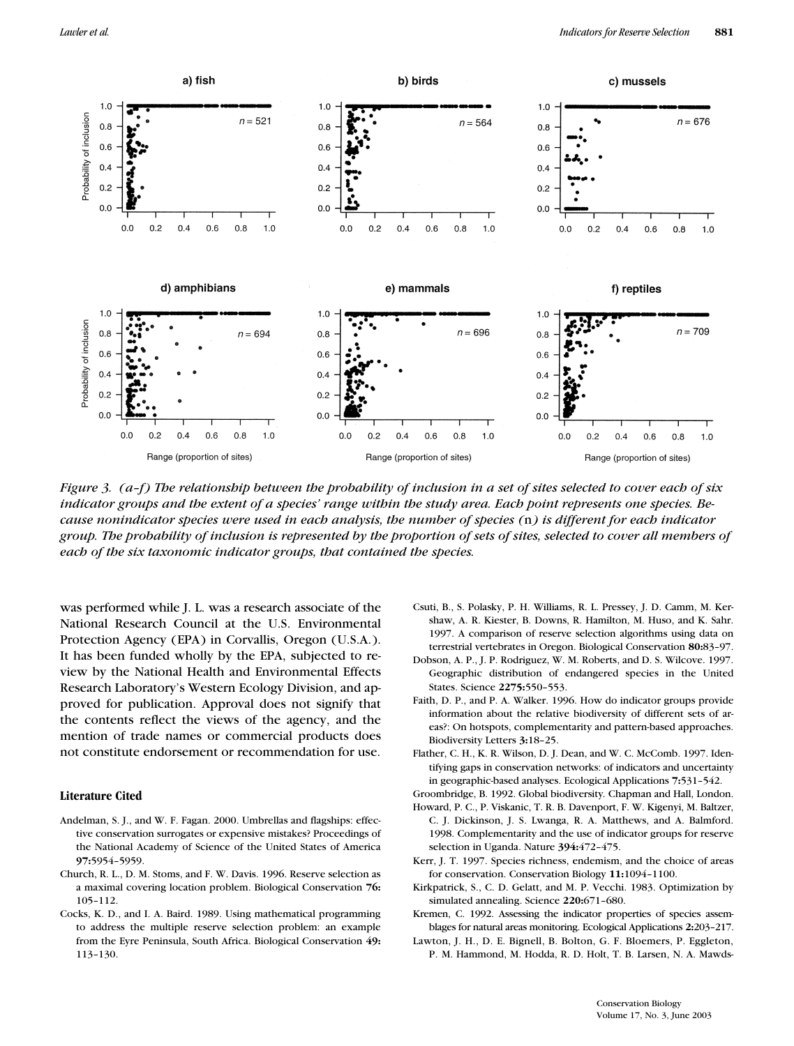

*Figure 3. (a–f) The relationship between the probability of inclusion in a set of sites selected to cover each of six indicator groups and the extent of a species' range within the study area. Each point represents one species. Because nonindicator species were used in each analysis, the number of species (*n*) is different for each indicator group. The probability of inclusion is represented by the proportion of sets of sites, selected to cover all members of each of the six taxonomic indicator groups, that contained the species.*

was performed while J. L. was a research associate of the National Research Council at the U.S. Environmental Protection Agency (EPA) in Corvallis, Oregon (U.S.A.). It has been funded wholly by the EPA, subjected to review by the National Health and Environmental Effects Research Laboratory's Western Ecology Division, and approved for publication. Approval does not signify that the contents reflect the views of the agency, and the mention of trade names or commercial products does not constitute endorsement or recommendation for use.

#### **Literature Cited**

- Andelman, S. J., and W. F. Fagan. 2000. Umbrellas and flagships: effective conservation surrogates or expensive mistakes? Proceedings of the National Academy of Science of the United States of America **97:**5954–5959.
- Church, R. L., D. M. Stoms, and F. W. Davis. 1996. Reserve selection as a maximal covering location problem. Biological Conservation **76:** 105–112.
- Cocks, K. D., and I. A. Baird. 1989. Using mathematical programming to address the multiple reserve selection problem: an example from the Eyre Peninsula, South Africa. Biological Conservation **49:** 113–130.
- Csuti, B., S. Polasky, P. H. Williams, R. L. Pressey, J. D. Camm, M. Kershaw, A. R. Kiester, B. Downs, R. Hamilton, M. Huso, and K. Sahr. 1997. A comparison of reserve selection algorithms using data on terrestrial vertebrates in Oregon. Biological Conservation **80:**83–97.
- Dobson, A. P., J. P. Rodriguez, W. M. Roberts, and D. S. Wilcove. 1997. Geographic distribution of endangered species in the United States. Science **2275:**550–553.
- Faith, D. P., and P. A. Walker. 1996. How do indicator groups provide information about the relative biodiversity of different sets of areas?: On hotspots, complementarity and pattern-based approaches. Biodiversity Letters **3:**18–25.
- Flather, C. H., K. R. Wilson, D. J. Dean, and W. C. McComb. 1997. Identifying gaps in conservation networks: of indicators and uncertainty in geographic-based analyses. Ecological Applications **7:**531–542.
- Groombridge, B. 1992. Global biodiversity*.* Chapman and Hall, London.
- Howard, P. C., P. Viskanic, T. R. B. Davenport, F. W. Kigenyi, M. Baltzer, C. J. Dickinson, J. S. Lwanga, R. A. Matthews, and A. Balmford. 1998. Complementarity and the use of indicator groups for reserve selection in Uganda. Nature **394:**472–475.
- Kerr, J. T. 1997. Species richness, endemism, and the choice of areas for conservation. Conservation Biology **11:**1094–1100.
- Kirkpatrick, S., C. D. Gelatt, and M. P. Vecchi. 1983. Optimization by simulated annealing. Science **220:**671–680.
- Kremen, C. 1992. Assessing the indicator properties of species assemblages for natural areas monitoring. Ecological Applications **2:**203–217.
- Lawton, J. H., D. E. Bignell, B. Bolton, G. F. Bloemers, P. Eggleton, P. M. Hammond, M. Hodda, R. D. Holt, T. B. Larsen, N. A. Mawds-